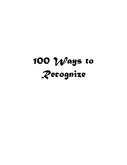# *100 Ways to Recognize*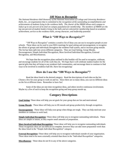# *100 Ways to Recognize*

*The National Residence Hall Honorary of the National Association of College and University Residence Halls, Inc., an organization that is committed to the recognition of the outstanding accomplishments and achievements of students living in the residence halls. The charter of the NRHH allows each campus to induct up to one percent of its total on-campus population for membership. The members of NRHH are the top one percent of student leaders living in the halls and are selected for membership based on academic achievement, service to the residence halls, strong character, and leadership potential.*

# *What is "100 Ways to Recognize?"*

"100 Ways to Recognize" contains a creative list of ideas you can use to recognize people at your schools. These ideas can be used in your RHA meetings for goal setting and encouragement, to recognize the efforts of groups and individuals throughout the residence hall system, and to increase group morale. The list has been split into seven different categories. They are Goal Setting, Group Morale, Encouragement, Simple Individual Recognition, More Involved Individual Recognition, External Recognition, and Miscellaneous.

We hope that the recognition plans outlined in this booklet will be used to recognize, celebrate, and encourage students for all of the work they do. We hope that it will celebrate student leaders for the special gifts that they all bring to our residence hall communities, and encourage them to continue to find ways to be involved in residence hall life. Have fun recognizing!

# **How do I use the "100 Ways to Recognize"?**

Read the ideas listed in the desired category. Read the descriptions of each idea on the list. Choose a few for your group to work on and try. Since there are so many ideas, you can try different ideas on the list at different times. Remember to have fun!

Some of the ideas are one-time recognition ideas, and others involve continuous involvement. Maybe try a few of each to keep the recognition going and keep group morale up.

# **Category Descriptions**

**Goal Setting**: These ideas will help you set goals for your group that are fun and motivational.

**Group Morale:** These ideas will help you to lift morale and group productivity through recognition.

**Encouragement**: These ideas will help your group when things are tough. They can help motivate your members to continue to work hard.

**Simple Individual Recognition:** These ideas will help you to recognize outstanding individuals. These ideas are simple in nature, as they require small amounts of preparation.

**More Involved Individual Recognition**: These ideas will help you to recognize outstanding individuals. These recognition ideas are not difficult to complete, however they can take more preparation work than the ideas listed in the "Simple Individual Recognition" category.

**External Recognition:** These ideas will help you to recognize individuals outside of your organization. These ideas tend to be more externally oriented than those in the "Individual Recognition" categories.

**Miscellaneous**: These ideas do not fit in any of the above categories.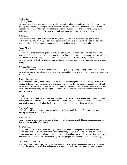## *Goal setting*

## *1. Wishing Well*

Give every member of your group a penny, place a plastic wading pool in the middle of the room (or any wishing well facsimile) and request that members of the group throw their penny into the well while making a verbal wish. You may even adapt this by giving out more than one penny and having people make wishes in certain areas. This may be a good warm-up exercise for a goal setting program.

## *2. To Do Jar*

Have people in your organization write the things that they like to do on a sheet of paper. After a particularly long day, meeting, or personal/organizational success, draw one of the cards and do what is written on the card. Your job as a leader is to assist in making sure that the activity takes place.

## **Group Morale**

## *3. T-shirts*

T-shirts are an excellent way to promote unity and community. They can also be used as awards and motivators. Create a unique design, or capture a phrase that represents the group you are working with, and award the shirts to deserving members. Shirts are inexpensive motivators (usually only \$10.00 to \$14.00 for small quantity orders). Having the group use fabric paints and create their own designs can save more money.

## *4. Friendship Plants*

There are varieties of plants that can be propagated very easily by simply rooting a cutter in water. Have a big plant like this in your office or room, and give a cut out to people who have helped you or are deserving of recognition.

## *5. Magnificent Marbles*

Every member of your group should receive a marble. You then explain that this is a magnificent marble and that it should be given to someone who is deserving because they have done something magnificent! Each member is encouraged to visit with another member of the group who is deserving of receiving this marble and share why they are making this "award." This is a positive, non-threatening way to share positive strokes.

## *6. Notes*

There are so many times that a simple note can have a great impact. Many people enjoy receiving praise in person, but there is something about having a note to refer back to that makes it very special. You can put a note on almost anything - it's just the time you take to write it and send it that makes it special.

## *7. Limerick/Poem*

Write a limerick or poem to celebrate an individual or the accomplishments of a group! Pass it out at meeting or include it in your minutes.

## *8. Success Jars*

Have everyone in academics at a meeting share a recent success on a card. Throughout the meeting, take time to draw out and read the cards.

## *9. UN-Banquet*

Many times we strive to do so much recognition through the use of banquets that they become less than special occasions. If you are involved in planning too many banquets, make an Un-Banquet --- plan a simple menu along with special activities that are generally uncharacteristic of a banquet. Let people wear blue jeans, make them eat different courses by different people, do whatever it takes to shake things up!

## *10. Blue Ribbon Exercise*

Make an outline of a ribbon award for each member of your group or organization. Pass it around at the close of the meeting or workshop and encourage everyone to make positive comments on the ribbon.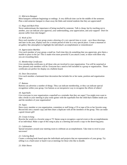## *11. Mid-term Banquet*

Most banquets celebrate beginnings or endings. A very difficult time can be the middle of the semester. Plan a mid-semester banquet to chase away the blahs and remind students that they are appreciated!

## *12. Hugs and Back-Pats*

Never underestimate the importance of being touched by someone. Talk is cheap, but by reaching out to another, you can indicate your approval, your understanding, your appreciation, and your support! Don't let anyone suffer from skin hunger!

## *13. Work of Art*

Have each member of your group create a drawing of a very special time or event…save these drawings, and later in the year, display each for a certain period of time in a very special place. Create a museum or art gallery like atmosphere to highlight the individual's accomplishment or remembrance!

## *14. Appreciation Marbles*

Give each member of your group a small jar. Each time they do something that you appreciate, give them a marble to place in the jar! This is made even more powerful if you attach a note, or share with them why you are rewarding them.

## *15. Membership Certificates*

Give membership certificates to all those who are involved in your organization. You will be surprised at how pleased your members will be. Everyone has a need to feel included in a group or organization. These certificates are perfect for display on a bulletin board.

## *16. Door Decorations*

Give each member a laminated door decoration that includes his or her name, position and organization logo.

## *17. Buttons*

Buttons can advertise a number of things. They can indicate membership, or they can indicate special recognition within your group. Use buttons as an inexpensive way to recognize the efforts of others!

## *18. Superballs*

Give everyone in your organization a superball as a reminder that they are super! You might even want to take a break in your meeting to play some games with the superballs-free the child that's hidden inside you and the members of your organization!

## *19. Tapes*

Have every member or you organization, committee or staff bring a CD or tape of his or her favorite song. Record this into a master copy and then share a duplicate with all the members of the group. This can make a good closure gift!

## *20. Create-A-Song*

Rewrite the words to a favorite song or TV theme song to recognize a special event or the accomplishments of an individual. Make a tape of this song to play at a meeting and award a copy to the deserving party.

## *21. Celebration*

Spread streamers around your meeting room to celebrate an accomplishment. Take time to revel in your successes!

## *22. Coloring Book*

Create a coloring book based upon the individuals and projects that are representative of your group. Try selling it as a fund-raiser or hand it out at meetings for those who like to doodle.

*23. Slide Shows*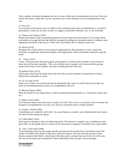Take a number of pictures throughout the year to create a slide show for presentation at the end of the year. Paired with music, a slide show can be a powerful way to focus attention on the accomplishments of the year.

## *24. New Cars*

Give everyone in the group a new car! Make award contingent upon some accomplishment or a record of participation. Unless you are quite wealthy we suggest you purchase Matchbox cars vs. the real thing!

## *25. Plaques and Trophies (1967)*

Plaques and trophies make outstanding mementos of involvement and achievement. If you cannot afford new trophies scavenge old ones that could be revamped by adding new inscription plates, by adding a more appropriate decoration at the top, etc. Work with a local dealer who is willing to assist you.

#### *26. Murals (1970)*

Recognize the creative talents of your group or organization by allowing them to create a mural that pictorially or graphically represents the goals of the organization. Allow all members involved to sign the mural.

#### *27. Videos (1971)*

Create a video that talks about group goals, group projects, or allows senior members to give advice to those who will be future members. This is an excellent way for people to feel involved and by giving copies of the video to each member, you share a lasting souvenir of the year.

#### *28. Balloon Prizes (1972)*

Solicit prizes from local merchants and at the end of the year give members an opportunity to break a balloon that corresponds to a prize.

#### *29. Jar of Candy (1973)*

Keep a jar of candy on your desk and only let individuals take a piece of candy from the jar if they can share an outstanding personal success or accomplishment with you.

## *30. Meeting Themes (1981)*

Boost the morale of your organization or staff by sponsoring meeting themes (i.e.: Beachwear, movie stars, etc.)

#### *31. Report Cards (1982)*

Give everyone report cards at the end of a project of a term. This can be a very positive way to evaluate and recognize accomplishments! You may even choose to send these home to family members.

#### *32. Twinkle, Twinkle (1994)*

Constellations are wonderful, aren't they? So, to put things on a smaller, more individualized level, name a star after the best among your group.

#### *33. E-Mail Baby! (1995)*

Send a groovy message to those of a deserving nature. The Internet is a popular way of sending out some great vibes. Let the people who are worthy receive some great recognition. Everybody loves to get email!!!

## *34. "Liter" of the Week (1998)*

At the beginning of the year the chapter decides who deserves the Leader/Liter of the Week award. The winner is awarded with a bottle of soda and is allowed to keep it. The next week the previous winner chooses someone they believe is deserving of the honor and it continues that way for the rest of the year. Not only do the leaders get recognized for their leadership but they also get a frosty beverage!

#### **Encouragement**

*35. GOALdfish*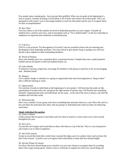Few people enjoy creating goals - but everyone likes goldfish. When you set goals at the beginning of a term or project, consider awarding a GOALdfish to all of those who achieve all of their goals. This is an inexpensive and creative way to encourage students to reach for their goals and for you to recognize them for their accomplishments!

## *36. Key Chain*

Give key chains to all of the students involved in leadership positions on your campus. Virtually all students have a need to carry keys, and an inscription such as "I'm a student leader" on the key ring helps to emphasize an important (but sometimes overlooked) point.

#### *37. F.R.O.G.s*

F.R.O.G.s (an acronym "For Recognition of Growth") may be awarded to those who are maturing and developing in their leadership positions. You may choose to give plastic frogs or perhaps you will even decide to give tadpoles to these outstanding members.

#### *38. Words of Wisdom*

Have each member give you a quotation that is a personal favorite. Compile these into a small quotation booklet and use the quotes to decorate bulletin boards, etc.

#### *39. Letter Bombs*

If someone is having a tough time, encourage all members of the group to send him or her an encouraging note. Bombard them!

#### *40. Hangers*

Give a plastic hanger to members or a group or organization that need encouragement to "hang in there" after a difficult meeting or week.

#### *41. Opportunities*

Give packets of seeds to individuals at the beginning of a term project. Tell them that the seeds are like opportunities-if treated with care, and given the right amount of nurture, they will flourish into something beautiful. Organizational tasks and individuals are the same…at the end of the term or project, ask what the members did with their seeds.

#### *42. Motivation Box*

Have every member of your group write down something that motivates them on a card. Place this card in a box and share the motivation box ideas with any groups or individuals that could use ideas on enhancing motivation.

## *Simple Individual Recognition*

#### *43. Poster-O-Rama*

Collect posters that are given to merchants and save them to attach to a note to give out as mini-awards throughout the year.

## *44. Hats off to…*

Cut top hats out of paper and award them to those who deserve a tip of the hat. This is a very inexpensive and creative way to share recognition.

#### *45. Hot Ticket Award*

Create an award that looks like a ticket burn it around the edges, put it in a plastic sleeve and you have the Hot Ticket Award. A perfect way to recognize those individuals or ideas that have burned bright!

## *46. Stirring Things Up Award*

For those who have stirred things up in a positive way you may choose to recognize them by awarding them with a large mixing spoon. Attach a note or certificate to explain how they have mixed things up!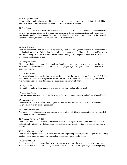## *47. Burning the Candle*

Burn a candle at both ends and award it to someone who is pushing himself or herself to the limit! This might also work as a nice memento of a burnout of a program or workshop.

#### *48. Posi-Squad*

Implemented at one of NACURH's own annual meetings, this award is given to those people who make a positive statement or exhibit positive behaviors. Sometimes groups can become too negative, and this award tends to refocus the group on the positive! We found this to have a positive impact on the National Board of Directors, we think that this will work with your group, too!

#### *49. Starfish Award*

There's a story about a gentleman who questions why a person is going to extraordinary measures to throw starfish back into the sea. When asked the question, the rescuer responds "because it makes a difference to this one." Giving a dried starfish to those who are outstanding in reaching out to others makes for an appropriate and touching award.

#### *50. Energizer Award*

Give an award of a battery to the individual who is doing the most during the week to energize the group or organization. You may use one battery mounted on a plaque or you may present each honoree with an individual battery.

#### *51. C.A.R.P. Award*

This award also utilizes goldfish in recognition of the fact that they are nothing but fancy carp! C.A.R.P. is an acronym for Caring And Responsible Person, and a C.A.R.P. award should be made anytime one or your members has done something that is sensitive and supportive of others.

#### *52. Bright Ideas*

Give out light bulbs to those members of your organization who had a bright idea!

## *53. Good Egg Award*

Blow out an egg, decorate it, and award it to a member of your organization who has been a "Good Egg."

## *54. Outlet Award*

Give the award of a small outlet cover or plate to someone who has been an outlet for creative ideas or energy within your group or organization.

#### *55. Adjourn in Honor of…*

As a simple recognition, adjourn your meeting in honor of an individual or organization that has excelled. This should appear in the minutes.

## *56. Brushing Up Award (1966)*

Give an award of a paintbrush to those members who are making efforts to improve their leadership skills and abilities by attending workshops, programs, and conferences. It's important to encourage this kind of activity.

## *57. Paper Clip Award (1974)*

Give awards of a giant paper clip to those who are working to keep your organization organized or working together - sometimes we forget how much of an impact those simple tasks can be.

#### *58. Banners (1975)*

Create banners that share items of praise to be displayed at your meetings or in the hallways near your office. You may also choose to display a banner at the office or room of the person you are recognizing.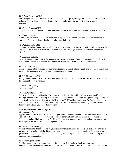## *59. Balloon Surprise (1976)*

Share a Mylar balloon as a surprise or for an even greater surprise, arrange to fill an office or room with balloons. This will take some coordination for entry and a lot of hot air, but it is sure to surprise the recipient.

*60. Wanted Posters (1978)*

Use photos to create "Wanted for Good Behavior" posters to be placed throughout the office or the hall!

## *61. Flowers (1983)*

Everyone enjoys flowers for special occasions. Why not share a bloom with those who are deserving of your thanks? It's a small deed that is sure to brighten their day!

#### *62. Chalk the Walls (1985)*

If it does not violate campus policy, why not share positive exclamations of praise by chalking them on the sidewalk? This is sure to draw attention to your "honoree" and to your organization for its recognition efforts!

#### *63. Dedications (1988)*

Dedicate programs, activities, and events to the outstanding individuals on your campus. This really will cost nothing - just make a mention of it on the advertisement or mention it in the introduction.

#### *64. Bookmarks (1989)*

Create bookmarks that highlight the outstanding accomplishments of individuals and have these bookmarks placed at the main desk of your campus learning/resource center.

## *65. R.O.S.E. Award (1992)*

Recognition of Superior Effort is given with a certificate and a rose. Choose a rose color that best matches the personality of your honoree.

*66. Thank You! (1993)*  Need I say more?

## 67. *Go Back In Time (1999)*

Ever wished you were a kid again? By simply giving the gift of a children's book with a significant message, you can assist somebody to regress into his/her childhood and relive the "good ol' days." Might I suggest calling the Doctor (Seuss, that is!)? Did I Ever Tell You How Lucky You Are? or Oh, The Places You'll Go! And what about, "The Little Engine That Could"? There is no better way to tell someone, "I think you can, I think you can, I think you can…"

## **More Involved Individual Recognition**

*68. Resident of the \_\_\_\_\_\_\_\_\_\_\_* 

Appoint a committee in your residence hall organization to select a resident of the (day, week, month, etc). Resident of the \_\_\_\_\_\_\_\_\_\_ can receive a letter of congratulation from the Director of Housing, the Chancellor, and the Hall Association President. You can also announce the selection in the newspaper, on the campus radio, etc. Post the winner's picture too!

## *69. Leadership Scholarships*

Present outstanding student leaders on your campus with scholarships on each class level. Students can fill out applications, and the scholarships can be awarded at a banquet or special luncheon. This serves as a great way to recognize the student leaders. You may be able to participate in campus awards programs and publicize your organization.

## *70. Member of the Month*

The Hall Association can select a member of the month. This can be a simple program based on nominations and a small selection committee. Refreshments can be served in honor of this person, and the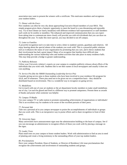association may want to present the winners with a certificate. This motivates members and recognizes your student leaders.

## *71. Dinner with the Execs*

New students can often be very shy about approaching Executive Board members of your RHA. This simple program gives them a fantastic opportunity to meet the board in a non-threatening and enjoyable way. Try to have dinner (or lunch, breakfast) with different residence hall representatives or staff members each week (or bi-weekly or monthly). The enhanced and improved communication that you can expect from taking time to communicate more closely will provide you with rich dividends that you can draw on throughout the year. To make this more special, you may decided to eat off campus.

## *72. Letter to Families*

A powerful recognition tool is to take time to write a letter to students' parents, guardians and relatives. All enjoy hearing about the special talents of the students you work with! This is a powerful public relations tool as it enhances the status of your organization by promoting that you care, and it shows students that their involvement has had a great impact! Many of us recognize that families have difficult time understanding the various leadership roles and student activities that take place in many residence halls. This may help provide a bridge to greater understanding.

#### *73. Publicity Releases*

Utilize your University relation's experts on your campus to complete publicity releases about efforts of the individuals that you work with. Students like to see their names in local newspapers and usually it does not cost anything.

#### *74. Service Pin (like the NRHH Outstanding Leadership Service Pin)*

Consider giving service pins to those students who have been involved in your residence life program for 4,6,8, and 10 semesters. These pins need not to be given out on a competition basis - they should be distributed based on involvement. This is a wonderful way to recognize on-going service.

## *75. Medallions*

Get in touch with one of your art students or the art department faculty members to make small medallions out of clay. Let each be glazed and fired in a different way to promote uniqueness. Present these as awards of thanks and praise when someone was helpful.

#### *76. Campus TV/Radio*

Use your campus TV or radio station to promote outstanding achievements of organizations or individuals! This is an excellent way for students to be aware of the excellent pursuits of their peers.

## *77. Personal Ads*

Take out a personal ad in you campus newspaper to praise the accomplishments of individuals or groups that you work with. This is an inexpensive way to praise efforts and to share recognition in front of their peers.

## *78. University Signs*

Many universities have announcement signs near the administration building or the heart of campus. See if you can encourage an administrator to recognize efforts of those you work with by placing a message on the signs.

## *79. Leader Trees*

Plant small trees on your campus to honor student leaders. Work with administration to find an area in need of planting and create a living testimony to the outstanding efforts of your top student leaders.

#### *80. Proclamations*

Have your campus President, Dean of Students, or Director of Residence Life issue proclamations that recognize the achievements and involvement of outstanding students and groups.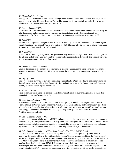## *81. Chancellor's Lunch (1964)*

Arrange for the Chancellor to take an outstanding student leader to lunch once a month. This may also be implemented with the Dean or Director. This will be a good motivator for students and will provide top administrators with the exposure to your best students.

#### *82. Incident Reports (1977)*

Most campuses use some type of incident form or documentation for the student conduct system. Why not take these forms and document positive behaviors? Have students meet with hearing panels or administrators for focus on their positive contributions! Encourage good behavior to repeat itself!

#### *83. Jail (1979)*

Arrest these "do-gooders" and place them in jail - a main lobby area of the student union would be a good place! Treat them with a lot of TLC in preparation for #84. This may also be adopted as a fund-raisers, see if friends or colleagues will post bail money!

#### *84. Trial (1980)*

Have a trial to see if they are guilty of the good deeds they have been charged with. This can be played to the hilt as a melodrama. (You may want to consider videotaping for later showing.) The close of the Trial is a perfect opportunity for a going free party!

#### *85. Cinema Announcements (1984)*

Usually it is common for a member of your campus cinema organization to make some announcements before the screening of the movie. Why not encourage the organization to recognize those that you work with?

#### *86. Day Off (1986)*

Share recognition by trying to give an outstanding student leader a "day off." Try to find some volunteers that will assist them in making their day as effortless and enjoyable as can be (ideas might include doing laundry, cleaning dishes, typing memos, etc.)

## *87. Phone Calls (1987)*

Have an administrator make a telephone call to family members of an outstanding student to share their appreciation for the efforts of the students!

## *88. Letter to the President (1990)*

Why not send a letter praising the contributions of your group or an individual to your state's Senator, Representative, or Governor, or perhaps the President of the United States? Politicians usually get letters of complaint or dissatisfaction. Many politicians will return positive letters, but even if they don't you can send a copy of the letter to who you are praising and they'll always have a letter that was sent to the President about their efforts.

## *89. Show them their Efforts (1991)*

If you school nominates inductees into NRHH, rather than an application process, you send the nominee a copy of what great thing someone else has to say about them. This goes for all of the "Of the Month" award nominations as well. It always feels good to be nominated to win an award, or be inducted into an honorary organization, but it feels even better when you know why others value your dedication!

## *90. Induction to the Association of Alumni and Friends of NACURH (AAFN) (1996)*

The AAFN was formed to recognize outstanding individuals who have significantly contributed to improving the quality of life in the residence halls. The AAFN has been referred to as the "Hall of Fame" for NRHH Chapters and RHA's across the continent. Inductees are recognized at the NACURH Conference each May. A paragraph briefly detailing the individual's contribution is included in an annual booklet published and distributed among NACURH member schools. Inductees also receive an engraved paperweight. The deadline for inductees for each academic year is March 31st. Induction requires a \$100 contribution to the AAFN Fund and the submission of a brief (approximately 50-60 words) informational